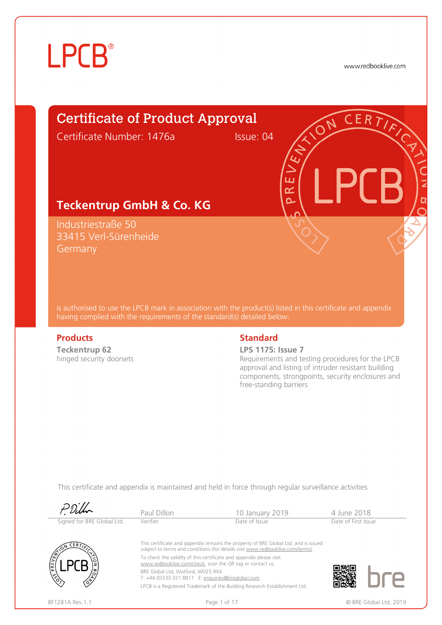www.redbooklive.com

### Certificate of Product Approval

Certificate Number: 1476a Issue: 04

ய œ  $\overline{\mathbf{C}}$ 

#### **Teckentrup GmbH & Co. KG**

Industriestraße 50 33415 Verl-Sürenheide **Germany** 

is authorised to use the LPCB mark in association with the product(s) listed in this certificate and appendix having complied with the requirements of the standard(s) detailed below:

**Teckentrup 62**  hinged security doorsets

#### **Products** Standard **Standard**

**LPS 1175: Issue 7**

Requirements and testing procedures for the LPCB approval and listing of intruder resistant building components, strongpoints, security enclosures and free-standing barriers

|                            | Paul Dillon                                                                                                                                         | 10 January 2019                                                                                                                                                                                                                              | 4 June 2018         |                        |
|----------------------------|-----------------------------------------------------------------------------------------------------------------------------------------------------|----------------------------------------------------------------------------------------------------------------------------------------------------------------------------------------------------------------------------------------------|---------------------|------------------------|
| Signed for BRE Global Ltd. | Verifier                                                                                                                                            | Date of Issue                                                                                                                                                                                                                                | Date of First Issue |                        |
| CERT<br>PREVENCE           |                                                                                                                                                     | This certificate and appendix remains the property of BRE Global Ltd. and is issued<br>subject to terms and conditions (for details visit www.redbooklive.com/terms).<br>To check the validity of this certificate and appendix please visit |                     |                        |
|                            | www.redbooklive.com/check, scan the QR tag or contact us.<br>BRE Global Ltd, Watford, WD25 9XX<br>T: +44 (0)333 321 8811 E: enquiries@breglobal.com |                                                                                                                                                                                                                                              |                     |                        |
| BF1281A Rev.1.1            |                                                                                                                                                     | LPCB is a Registered Trademark of the Building Research Establishment Ltd.<br>Page 1 of 17                                                                                                                                                   |                     | © BRE Global Ltd. 2019 |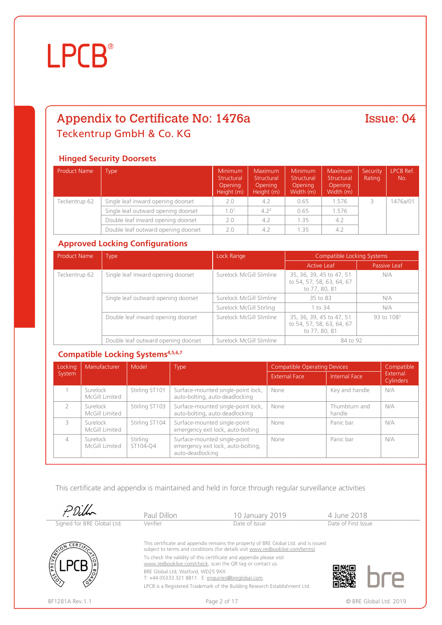### Appendix to Certificate No: 1476a Teckentrup GmbH & Co. KG

#### Issue: 04

#### **Hinged Security Doorsets**

| Product Name  | Type                                | <b>Minimum</b><br>Structural<br>Opening<br>Height (m) | Maximum<br>Structural<br><b>Opening</b><br>Height (m) | <b>Minimum</b><br>Structural<br><b>Opening</b><br>Width (m) | Maximum<br>Structural<br><b>Opening</b><br>Width (m) | Security<br>Rating | LPCB Ref.<br>No. |
|---------------|-------------------------------------|-------------------------------------------------------|-------------------------------------------------------|-------------------------------------------------------------|------------------------------------------------------|--------------------|------------------|
| Teckentrup 62 | Single leaf inward opening doorset  | 2.0                                                   | 4.2                                                   | 0.65                                                        | 1.576                                                |                    | 1476a/01         |
|               | Single leaf outward opening doorset | 1.01                                                  | 4.2 <sup>2</sup>                                      | 0.65                                                        | 1.576                                                |                    |                  |
|               | Double leaf inward opening doorset  | 2.0                                                   | 4.2                                                   | 1.35                                                        | 4.2                                                  |                    |                  |
|               | Double leaf outward opening doorset | 2.0                                                   | 4.2                                                   | 1.35                                                        | 4.2                                                  |                    |                  |

#### **Approved Locking Configurations**

| <b>Product Name</b> | <b>Type</b>                         | Lock Range               | Compatible Locking Systems                                             |              |  |
|---------------------|-------------------------------------|--------------------------|------------------------------------------------------------------------|--------------|--|
|                     |                                     |                          | <b>Active Leaf</b>                                                     | Passive Leaf |  |
| Teckentrup 62       | Single leaf inward opening doorset  | Surelock McGill Slimline | 35, 36, 39, 45 to 47, 51<br>to 54, 57, 58, 63, 64, 67<br>to 77, 80, 81 |              |  |
|                     | Single leaf outward opening doorset | Surelock McGill Slimline | 35 to 83                                                               | N/A          |  |
|                     |                                     | Surelock McGill Stirling | 1 to 34                                                                | N/A          |  |
|                     | Double leaf inward opening doorset  | Surelock McGill Slimline | 35, 36, 39, 45 to 47, 51<br>to 54, 57, 58, 63, 64, 67<br>to 77, 80, 81 | 93 to $1083$ |  |
|                     | Double leaf outward opening doorset | Surelock McGill Slimline | 84 to 92                                                               |              |  |

#### **Compatible Locking Systems4,5,6,7**

| Locking        | Manufacturer<br>Model<br>Type |                      | <b>Compatible Operating Devices</b>                                                    | Compatible           |                         |                       |
|----------------|-------------------------------|----------------------|----------------------------------------------------------------------------------------|----------------------|-------------------------|-----------------------|
| System         |                               |                      |                                                                                        | <b>External Face</b> | Internal Face           | External<br>Cylinders |
|                | Surelock<br>McGill Limited    | Stirling ST101       | Surface-mounted single-point lock,<br>auto-bolting, auto-deadlocking                   | None                 | Key and handle          | N/A                   |
|                | Surelock<br>McGill Limited    | Stirling ST103       | Surface-mounted single-point lock,<br>auto-bolting, auto-deadlocking                   | None                 | Thumbturn and<br>handle | N/A                   |
| ₹              | Surelock<br>McGill Limited    | Stirling ST104       | Surface-mounted single-point<br>emergency exit lock, auto-bolting                      | None                 | Panic bar               | N/A                   |
| $\overline{4}$ | Surelock<br>McGill Limited    | Stirling<br>ST104-Q4 | Surface-mounted single-point<br>emergency exit lock, auto-bolting,<br>auto-deadlocking | None                 | Panic bar               | N/A                   |

|                            | Paul Dillon                                                                                                                      | 10 January 2019                                                                                                                                                       | 4 June 2018            |  |  |
|----------------------------|----------------------------------------------------------------------------------------------------------------------------------|-----------------------------------------------------------------------------------------------------------------------------------------------------------------------|------------------------|--|--|
| Signed for BRE Global Ltd. | Verifier                                                                                                                         | Date of Issue                                                                                                                                                         | Date of First Issue    |  |  |
| -ER7)                      |                                                                                                                                  | This certificate and appendix remains the property of BRE Global Ltd. and is issued<br>subject to terms and conditions (for details visit www.redbooklive.com/terms). |                        |  |  |
| <b>PRE</b>                 | To check the validity of this certificate and appendix please visit<br>www.redbooklive.com/check, scan the QR tag or contact us. |                                                                                                                                                                       |                        |  |  |
|                            | BRE Global Ltd, Watford, WD25 9XX<br>T: +44 (0)333 321 8811 E: enquiries@breglobal.com                                           |                                                                                                                                                                       |                        |  |  |
|                            |                                                                                                                                  | LPCB is a Registered Trademark of the Building Research Establishment Ltd.                                                                                            |                        |  |  |
| BF1281A Rev. 1.1           |                                                                                                                                  | Page 2 of 17                                                                                                                                                          | © BRE Global Ltd. 2019 |  |  |

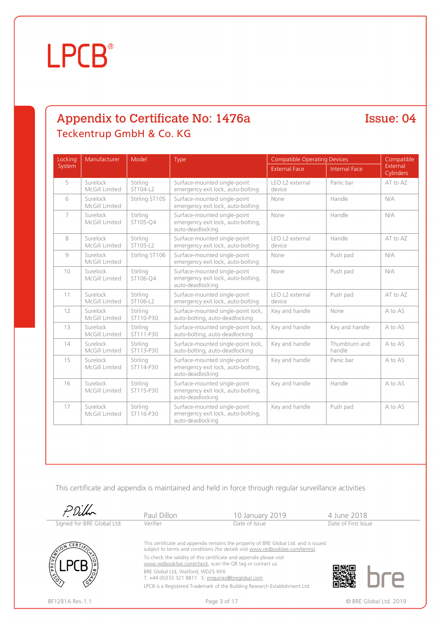#### Appendix to Certificate No: 1476a Teckentrup GmbH & Co. KG

Issue: 04

| Locking        | Manufacturer               | Model                 | Type                                                                                   | <b>Compatible Operating Devices</b> |                         | Compatible            |
|----------------|----------------------------|-----------------------|----------------------------------------------------------------------------------------|-------------------------------------|-------------------------|-----------------------|
| System         |                            |                       |                                                                                        | <b>External Face</b>                | <b>Internal Face</b>    | External<br>Cylinders |
| 5              | Surelock<br>McGill Limited | Stirling<br>ST104-L2  | Surface-mounted single-point<br>emergency exit lock, auto-bolting                      | LEO L2 external<br>device           | Panic bar               | AT to AZ              |
| 6              | Surelock<br>McGill Limited | Stirling ST105        | Surface-mounted single-point<br>emergency exit lock, auto-bolting                      | None                                | Handle                  | N/A                   |
| $\overline{7}$ | Surelock<br>McGill Limited | Stirling<br>ST105-O4  | Surface-mounted single-point<br>emergency exit lock, auto-bolting,<br>auto-deadlocking | None                                | Handle                  | N/A                   |
| 8              | Surelock<br>McGill Limited | Stirling<br>ST105-L2  | Surface-mounted single-point<br>emergency exit lock, auto-bolting                      | LEO L2 external<br>device           | Handle                  | AT to AZ              |
| 9              | Surelock<br>McGill Limited | Stirling ST106        | Surface-mounted single-point<br>emergency exit lock, auto-bolting                      | None                                | Push pad                | N/A                   |
| 10             | Surelock<br>McGill Limited | Stirling<br>ST106-O4  | Surface-mounted single-point<br>emergency exit lock, auto-bolting,<br>auto-deadlocking | None                                | Push pad                | N/A                   |
| 11             | Surelock<br>McGill Limited | Stirling<br>ST106-L2  | Surface-mounted single-point<br>emergency exit lock, auto-bolting                      | LEO L2 external<br>device           | Push pad                | AT to AZ              |
| 12             | Surelock<br>McGill Limited | Stirling<br>ST110-P30 | Surface-mounted single-point lock,<br>auto-bolting, auto-deadlocking                   | Key and handle                      | None                    | A to AS               |
| 13             | Surelock<br>McGill Limited | Stirling<br>ST111-P30 | Surface-mounted single-point lock,<br>auto-bolting, auto-deadlocking                   | Key and handle                      | Key and handle          | A to AS               |
| 14             | Surelock<br>McGill Limited | Stirling<br>ST113-P30 | Surface-mounted single-point lock,<br>auto-bolting, auto-deadlocking                   | Key and handle                      | Thumbturn and<br>handle | A to AS               |
| 15             | Surelock<br>McGill Limited | Stirling<br>ST114-P30 | Surface-mounted single-point<br>emergency exit lock, auto-bolting,<br>auto-deadlocking | Key and handle                      | Panic bar               | A to AS               |
| 16             | Surelock<br>McGill Limited | Stirling<br>ST115-P30 | Surface-mounted single-point<br>emergency exit lock, auto-bolting,<br>auto-deadlocking | Key and handle                      | Handle                  | A to AS               |
| 17             | Surelock<br>McGill Limited | Stirling<br>ST116-P30 | Surface-mounted single-point<br>emergency exit lock, auto-bolting,<br>auto-deadlocking | Key and handle                      | Push pad                | A to AS               |

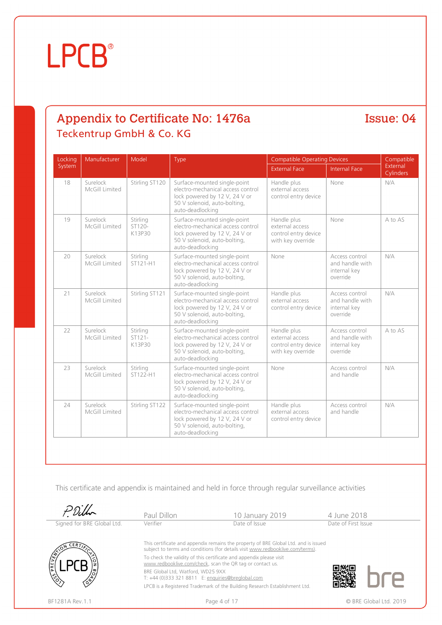### Appendix to Certificate No: 1476a Teckentrup GmbH & Co. KG

Issue: 04

| Locking | Manufacturer               | Model                          | Type                                                                                                                                                    | <b>Compatible Operating Devices</b>                                         | Compatible                                                    |                       |
|---------|----------------------------|--------------------------------|---------------------------------------------------------------------------------------------------------------------------------------------------------|-----------------------------------------------------------------------------|---------------------------------------------------------------|-----------------------|
| System  |                            |                                |                                                                                                                                                         | <b>External Face</b>                                                        | <b>Internal Face</b>                                          | External<br>Cylinders |
| 18      | Surelock<br>McGill Limited | Stirling ST120                 | Surface-mounted single-point<br>electro-mechanical access control<br>lock powered by 12 V, 24 V or<br>50 V solenoid, auto-bolting,<br>auto-deadlocking  | Handle plus<br>external access<br>control entry device                      | None                                                          | N/A                   |
| 19      | Surelock<br>McGill Limited | Stirling<br>ST120-<br>K13P30   | Surface-mounted single-point<br>electro-mechanical access control<br>lock powered by 12 V, 24 V or<br>50 V solenoid, auto-bolting,<br>auto-deadlocking  | Handle plus<br>external access<br>control entry device<br>with key override | None                                                          | A to AS               |
| 20      | Surelock<br>McGill Limited | Stirling<br>ST121-H1           | Surface-mounted single-point<br>electro-mechanical access control<br>lock powered by 12 V, 24 V or<br>50 V solenoid, auto-bolting,<br>auto-deadlocking  | None                                                                        | Access control<br>and handle with<br>internal key<br>override | N/A                   |
| 21      | Surelock<br>McGill Limited | Stirling ST121                 | Surface-mounted single-point<br>electro-mechanical access control.<br>lock powered by 12 V, 24 V or<br>50 V solenoid, auto-bolting,<br>auto-deadlocking | Handle plus<br>external access<br>control entry device                      | Access control<br>and handle with<br>internal key<br>override | N/A                   |
| 22      | Surelock<br>McGill Limited | Stirlina<br>$ST121-$<br>K13P30 | Surface-mounted single-point<br>electro-mechanical access control<br>lock powered by 12 V, 24 V or<br>50 V solenoid, auto-bolting,<br>auto-deadlocking  | Handle plus<br>external access<br>control entry device<br>with key override | Access control<br>and handle with<br>internal key<br>override | A to AS               |
| 23      | Surelock<br>McGill Limited | Stirlina<br>ST122-H1           | Surface-mounted single-point<br>electro-mechanical access control<br>lock powered by 12 V, 24 V or<br>50 V solenoid, auto-bolting,<br>auto-deadlocking  | None                                                                        | Access control<br>and handle                                  | N/A                   |
| 24      | Surelock<br>McGill Limited | Stirling ST122                 | Surface-mounted single-point<br>electro-mechanical access control<br>lock powered by 12 V, 24 V or<br>50 V solenoid, auto-bolting,<br>auto-deadlocking  | Handle plus<br>external access<br>control entry device                      | Access control<br>and handle                                  | N/A                   |

|                            | Paul Dillon                                                                                                                      | 10 January 2019                                                                                                                                                       | 4 June 2018            |
|----------------------------|----------------------------------------------------------------------------------------------------------------------------------|-----------------------------------------------------------------------------------------------------------------------------------------------------------------------|------------------------|
| Signed for BRE Global Ltd. | Verifier                                                                                                                         | Date of Issue                                                                                                                                                         | Date of First Issue    |
| <b>CERT</b><br>PREVE       | To check the validity of this certificate and appendix please visit<br>www.redbooklive.com/check, scan the QR tag or contact us. | This certificate and appendix remains the property of BRE Global Ltd. and is issued<br>subject to terms and conditions (for details visit www.redbooklive.com/terms). |                        |
|                            | BRE Global Ltd, Watford, WD25 9XX<br>T: +44 (0)333 321 8811 E: enquiries@breglobal.com                                           | LPCB is a Registered Trademark of the Building Research Establishment Ltd.                                                                                            |                        |
| BF1281A Rev. 1.1           |                                                                                                                                  | Page 4 of 17                                                                                                                                                          | © BRE Global Ltd. 2019 |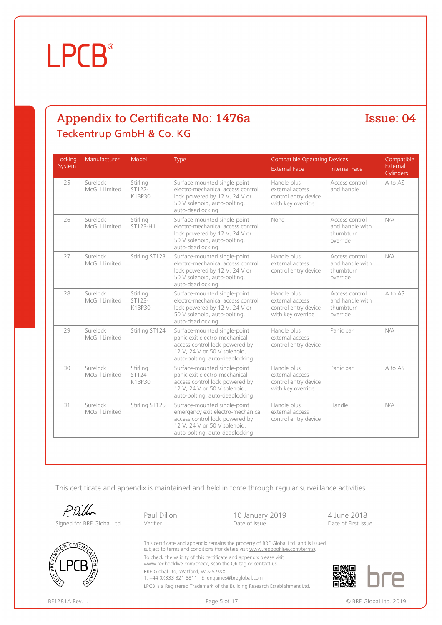### Appendix to Certificate No: 1476a Teckentrup GmbH & Co. KG

Issue: 04

| Locking | Manufacturer               | Model                        | Type                                                                                                                                                                  | <b>Compatible Operating Devices</b>                                         |                                                            | Compatible            |  |
|---------|----------------------------|------------------------------|-----------------------------------------------------------------------------------------------------------------------------------------------------------------------|-----------------------------------------------------------------------------|------------------------------------------------------------|-----------------------|--|
| System  |                            |                              |                                                                                                                                                                       | <b>External Face</b>                                                        | <b>Internal Face</b>                                       | External<br>Cylinders |  |
| 25      | Surelock<br>McGill Limited | Stirling<br>ST122-<br>K13P30 | Surface-mounted single-point<br>electro-mechanical access control<br>lock powered by 12 V, 24 V or<br>50 V solenoid, auto-bolting,<br>auto-deadlocking                | Handle plus<br>external access<br>control entry device<br>with key override | Access control<br>and handle                               | A to AS               |  |
| 26      | Surelock<br>McGill Limited | Stirling<br>ST123-H1         | Surface-mounted single-point<br>electro-mechanical access control.<br>lock powered by 12 V, 24 V or<br>50 V solenoid, auto-bolting,<br>auto-deadlocking               | None                                                                        | Access control<br>and handle with<br>thumbturn<br>override | N/A                   |  |
| 27      | Surelock<br>McGill Limited | Stirling ST123               | Surface-mounted single-point<br>electro-mechanical access control<br>lock powered by 12 V, 24 V or<br>50 V solenoid, auto-bolting,<br>auto-deadlocking                | Handle plus<br>external access<br>control entry device                      | Access control<br>and handle with<br>thumbturn<br>override | N/A                   |  |
| 28      | Surelock<br>McGill Limited | Stirling<br>ST123-<br>K13P30 | Surface-mounted single-point<br>electro-mechanical access control<br>lock powered by 12 V, 24 V or<br>50 V solenoid, auto-bolting,<br>auto-deadlocking                | Handle plus<br>external access<br>control entry device<br>with key override | Access control<br>and handle with<br>thumbturn<br>override | A to AS               |  |
| 29      | Surelock<br>McGill Limited | Stirling ST124               | Surface-mounted single-point<br>panic exit electro-mechanical<br>access control lock powered by<br>12 V, 24 V or 50 V solenoid,<br>auto-bolting, auto-deadlocking     | Handle plus<br>external access<br>control entry device                      | Panic bar                                                  | N/A                   |  |
| 30      | Surelock<br>McGill Limited | Stirling<br>ST124-<br>K13P30 | Surface-mounted single-point<br>panic exit electro-mechanical<br>access control lock powered by<br>12 V, 24 V or 50 V solenoid,<br>auto-bolting, auto-deadlocking     | Handle plus<br>external access<br>control entry device<br>with key override | Panic bar                                                  | A to AS               |  |
| 31      | Surelock<br>McGill Limited | Stirling ST125               | Surface-mounted single-point<br>emergency exit electro-mechanical<br>access control lock powered by<br>12 V, 24 V or 50 V solenoid,<br>auto-bolting, auto-deadlocking | Handle plus<br>external access<br>control entry device                      | Handle                                                     | N/A                   |  |

|                            | Paul Dillon                                                                                                                                                           | 10 January 2019                                                            | 4 June 2018            |  |  |
|----------------------------|-----------------------------------------------------------------------------------------------------------------------------------------------------------------------|----------------------------------------------------------------------------|------------------------|--|--|
| Signed for BRE Global Ltd. | Verifier                                                                                                                                                              | Date of Issue                                                              | Date of First Issue    |  |  |
|                            | This certificate and appendix remains the property of BRE Global Ltd. and is issued<br>subject to terms and conditions (for details visit www.redbooklive.com/terms). |                                                                            |                        |  |  |
| <b>PRE</b>                 | To check the validity of this certificate and appendix please visit<br>www.redbooklive.com/check, scan the QR tag or contact us.                                      |                                                                            |                        |  |  |
|                            | BRE Global Ltd, Watford, WD25 9XX<br>T: +44 (0)333 321 8811 E: enquiries@breglobal.com                                                                                |                                                                            |                        |  |  |
|                            |                                                                                                                                                                       | LPCB is a Registered Trademark of the Building Research Establishment Ltd. |                        |  |  |
| BF1281A Rev.1.1            |                                                                                                                                                                       | Page 5 of 17                                                               | © BRE Global Ltd. 2019 |  |  |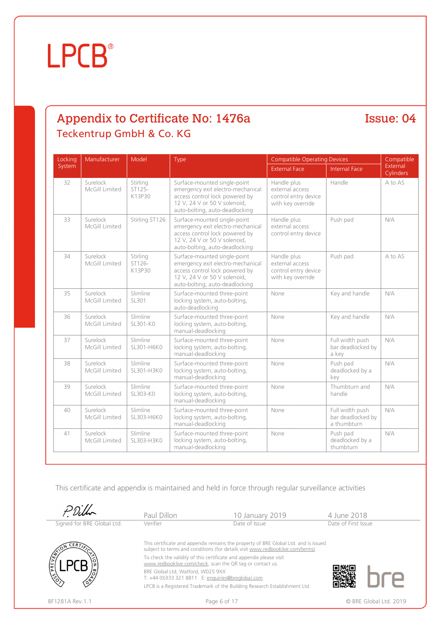### Appendix to Certificate No: 1476a Teckentrup GmbH & Co. KG

Issue: 04

| Locking | Manufacturer               | Model                        | Type                                                                                                                                                                  | <b>Compatible Operating Devices</b>                                         |                                                     | Compatible            |
|---------|----------------------------|------------------------------|-----------------------------------------------------------------------------------------------------------------------------------------------------------------------|-----------------------------------------------------------------------------|-----------------------------------------------------|-----------------------|
| System  |                            |                              |                                                                                                                                                                       | <b>External Face</b>                                                        | <b>Internal Face</b>                                | External<br>Cylinders |
| 32      | Surelock<br>McGill Limited | Stirling<br>ST125-<br>K13P30 | Surface-mounted single-point<br>emergency exit electro-mechanical<br>access control lock powered by<br>12 V, 24 V or 50 V solenoid,<br>auto-bolting, auto-deadlocking | Handle plus<br>external access<br>control entry device<br>with key override | Handle                                              | A to AS               |
| 33      | Surelock<br>McGill Limited | Stirling ST126               | Surface-mounted single-point<br>emergency exit electro-mechanical<br>access control lock powered by<br>12 V, 24 V or 50 V solenoid,<br>auto-bolting, auto-deadlocking | Handle plus<br>external access<br>control entry device                      | Push pad                                            | N/A                   |
| 34      | Surelock<br>McGill Limited | Stirling<br>ST126-<br>K13P30 | Surface-mounted single-point<br>emergency exit electro-mechanical<br>access control lock powered by<br>12 V, 24 V or 50 V solenoid,<br>auto-bolting, auto-deadlocking | Handle plus<br>external access<br>control entry device<br>with key override | Push pad                                            | A to AS               |
| 35      | Surelock<br>McGill Limited | Slimline<br>SL301            | Surface-mounted three-point<br>locking system, auto-bolting,<br>auto-deadlocking                                                                                      | None                                                                        | Key and handle                                      | N/A                   |
| 36      | Surelock<br>McGill Limited | Slimline<br>SL301-KO         | Surface-mounted three-point<br>locking system, auto-bolting,<br>manual-deadlocking                                                                                    | None                                                                        | Key and handle                                      | N/A                   |
| 37      | Surelock<br>McGill Limited | Slimline<br>SL301-H6K0       | Surface-mounted three-point<br>locking system, auto-bolting,<br>manual-deadlocking                                                                                    | None                                                                        | Full width push<br>bar deadlocked by<br>a key       | N/A                   |
| 38      | Surelock<br>McGill Limited | Slimline<br>SL301-H3K0       | Surface-mounted three-point<br>locking system, auto-bolting,<br>manual-deadlocking                                                                                    | None                                                                        | Push pad<br>deadlocked by a<br>key                  | N/A                   |
| 39      | Surelock<br>McGill Limited | Slimline<br>SL303-K0         | Surface-mounted three-point<br>locking system, auto-bolting,<br>manual-deadlocking                                                                                    | None                                                                        | Thumbturn and<br>handle                             | N/A                   |
| 40      | Surelock<br>McGill Limited | Slimline<br>SL303-H6K0       | Surface-mounted three-point<br>locking system, auto-bolting,<br>manual-deadlocking                                                                                    | None                                                                        | Full width push<br>bar deadlocked by<br>a thumbturn | N/A                   |
| 41      | Surelock<br>McGill Limited | Slimline<br>SL303-H3K0       | Surface-mounted three-point<br>locking system, auto-bolting,<br>manual-deadlocking                                                                                    | None                                                                        | Push pad<br>deadlocked by a<br>thumbturn            | N/A                   |

|                            | Paul Dillon                                                                                                                      | 10 January 2019                                                                                                                                                       | 4 June 2018            |  |  |
|----------------------------|----------------------------------------------------------------------------------------------------------------------------------|-----------------------------------------------------------------------------------------------------------------------------------------------------------------------|------------------------|--|--|
| Signed for BRE Global Ltd. | Verifier                                                                                                                         | Date of Issue                                                                                                                                                         | Date of First Issue    |  |  |
| ERT                        |                                                                                                                                  | This certificate and appendix remains the property of BRE Global Ltd. and is issued<br>subject to terms and conditions (for details visit www.redbooklive.com/terms). |                        |  |  |
| PREVENT                    | To check the validity of this certificate and appendix please visit<br>www.redbooklive.com/check, scan the QR tag or contact us. |                                                                                                                                                                       |                        |  |  |
|                            | BRE Global Ltd, Watford, WD25 9XX<br>T: +44 (0)333 321 8811 E: enquiries@breglobal.com                                           |                                                                                                                                                                       |                        |  |  |
|                            |                                                                                                                                  | LPCB is a Registered Trademark of the Building Research Establishment Ltd.                                                                                            |                        |  |  |
| BF1281A Rev.1.1            |                                                                                                                                  | Page 6 of 17                                                                                                                                                          | © BRE Global Ltd. 2019 |  |  |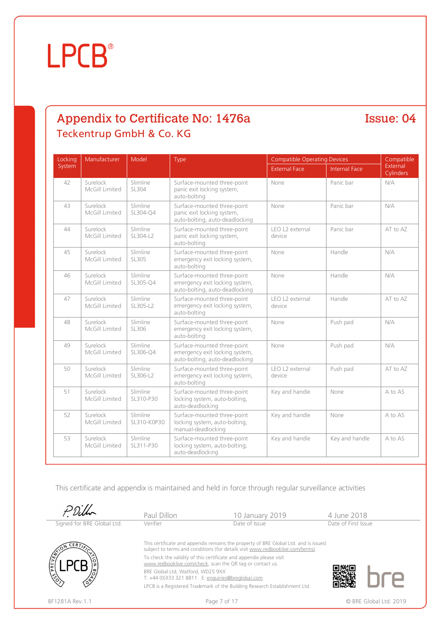#### Appendix to Certificate No: 1476a Teckentrup GmbH & Co. KG

Issue: 04

| Locking | Manufacturer               | Model                   | Type                                                                                            | <b>Compatible Operating Devices</b> |                      | Compatible            |
|---------|----------------------------|-------------------------|-------------------------------------------------------------------------------------------------|-------------------------------------|----------------------|-----------------------|
| System  |                            |                         |                                                                                                 | <b>External Face</b>                | <b>Internal Face</b> | External<br>Cylinders |
| 42      | Surelock<br>McGill Limited | Slimline<br>SL304       | Surface-mounted three-point<br>panic exit locking system,<br>auto-bolting                       | None                                | Panic bar            | N/A                   |
| 43      | Surelock<br>McGill Limited | Slimline<br>SL304-O4    | Surface-mounted three-point<br>panic exit locking system,<br>auto-bolting, auto-deadlocking     | None                                | Panic bar            | N/A                   |
| 44      | Surelock<br>McGill Limited | Slimline<br>SL304-L2    | Surface-mounted three-point<br>panic exit locking system,<br>auto-bolting                       | LEO L2 external<br>device           | Panic bar            | AT to AZ              |
| 45      | Surelock<br>McGill Limited | Slimline<br>SL305       | Surface-mounted three-point<br>emergency exit locking system,<br>auto-bolting                   | None                                | Handle               | N/A                   |
| 46      | Surelock<br>McGill Limited | Slimline<br>SL305-Q4    | Surface-mounted three-point<br>emergency exit locking system,<br>auto-bolting, auto-deadlocking | None                                | Handle               | N/A                   |
| 47      | Surelock<br>McGill Limited | Slimline<br>SL305-L2    | Surface-mounted three-point<br>emergency exit locking system,<br>auto-bolting                   | LEO L2 external<br>device           | Handle               | AT to AZ              |
| 48      | Surelock<br>McGill Limited | Slimline<br>SL306       | Surface-mounted three-point<br>emergency exit locking system,<br>auto-bolting                   | None                                | Push pad             | N/A                   |
| 49      | Surelock<br>McGill Limited | Slimline<br>SL306-Q4    | Surface-mounted three-point<br>emergency exit locking system,<br>auto-bolting, auto-deadlocking | None                                | Push pad             | N/A                   |
| 50      | Surelock<br>McGill Limited | Slimline<br>SL306-L2    | Surface-mounted three-point<br>emergency exit locking system,<br>auto-bolting                   | LEO L2 external<br>device           | Push pad             | AT to AZ              |
| 51      | Surelock<br>McGill Limited | Slimline<br>SL310-P30   | Surface-mounted three-point<br>locking system, auto-bolting,<br>auto-deadlocking                | Key and handle                      | None                 | A to AS               |
| 52      | Surelock<br>McGill Limited | Slimline<br>SL310-K0P30 | Surface-mounted three-point<br>locking system, auto-bolting,<br>manual-deadlocking              | Key and handle                      | None                 | A to AS               |
| 53      | Surelock<br>McGill Limited | Slimline<br>SL311-P30   | Surface-mounted three-point<br>locking system, auto-bolting,<br>auto-deadlocking                | Key and handle                      | Key and handle       | A to AS               |

|                            | Paul Dillon                                                                                                                                                           | 10 January 2019                                                            | 4 June 2018            |  |  |
|----------------------------|-----------------------------------------------------------------------------------------------------------------------------------------------------------------------|----------------------------------------------------------------------------|------------------------|--|--|
| Signed for BRE Global Ltd. | Verifier                                                                                                                                                              | Date of Issue                                                              | Date of First Issue    |  |  |
|                            | This certificate and appendix remains the property of BRE Global Ltd. and is issued<br>subject to terms and conditions (for details visit www.redbooklive.com/terms). |                                                                            |                        |  |  |
| ١ž                         | To check the validity of this certificate and appendix please visit<br>www.redbooklive.com/check, scan the QR tag or contact us.                                      |                                                                            |                        |  |  |
|                            | BRE Global Ltd, Watford, WD25 9XX<br>T: +44 (0)333 321 8811 E: enquiries@breglobal.com                                                                                |                                                                            |                        |  |  |
|                            |                                                                                                                                                                       | LPCB is a Registered Trademark of the Building Research Establishment Ltd. |                        |  |  |
| BF1281A Rev.1.1            |                                                                                                                                                                       | Page 7 of 17                                                               | © BRE Global Ltd. 2019 |  |  |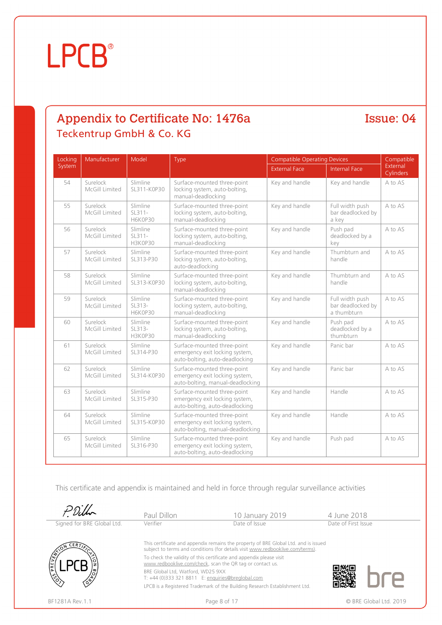### Appendix to Certificate No: 1476a Teckentrup GmbH & Co. KG

Issue: 04

| Locking | Manufacturer               | Model                                  | Type                                                                                              | <b>Compatible Operating Devices</b> |                                                     | Compatible            |
|---------|----------------------------|----------------------------------------|---------------------------------------------------------------------------------------------------|-------------------------------------|-----------------------------------------------------|-----------------------|
| System  |                            |                                        |                                                                                                   | <b>External Face</b>                | <b>Internal Face</b>                                | External<br>Cylinders |
| 54      | Surelock<br>McGill Limited | Slimline<br>SL311-K0P30                | Surface-mounted three-point<br>locking system, auto-bolting,<br>manual-deadlocking                | Key and handle                      | Key and handle                                      | A to AS               |
| 55      | Surelock<br>McGill Limited | Slimline<br>$SL311-$<br><b>H6K0P30</b> | Surface-mounted three-point<br>locking system, auto-bolting,<br>manual-deadlocking                | Key and handle                      | Full width push<br>bar deadlocked by<br>a key       | A to AS               |
| 56      | Surelock<br>McGill Limited | Slimline<br>$SL311-$<br>H3K0P30        | Surface-mounted three-point<br>locking system, auto-bolting,<br>manual-deadlocking                | Key and handle                      | Push pad<br>deadlocked by a<br>key                  | A to AS               |
| 57      | Surelock<br>McGill Limited | Slimline<br>SL313-P30                  | Surface-mounted three-point<br>locking system, auto-bolting,<br>auto-deadlocking                  | Key and handle                      | Thumbturn and<br>handle                             | A to AS               |
| 58      | Surelock<br>McGill Limited | Slimline<br>SL313-K0P30                | Surface-mounted three-point<br>locking system, auto-bolting,<br>manual-deadlocking                | Key and handle                      | Thumbturn and<br>handle                             | A to AS               |
| 59      | Surelock<br>McGill Limited | Slimline<br>$SL313-$<br><b>H6K0P30</b> | Surface-mounted three-point<br>locking system, auto-bolting,<br>manual-deadlocking                | Key and handle                      | Full width push<br>bar deadlocked by<br>a thumbturn | A to AS               |
| 60      | Surelock<br>McGill Limited | Slimline<br>SL313-<br><b>H3K0P30</b>   | Surface-mounted three-point<br>locking system, auto-bolting,<br>manual-deadlocking                | Key and handle                      | Push pad<br>deadlocked by a<br>thumbturn            | A to AS               |
| 61      | Surelock<br>McGill Limited | Slimline<br>SL314-P30                  | Surface-mounted three-point<br>emergency exit locking system,<br>auto-bolting, auto-deadlocking   | Key and handle                      | Panic bar                                           | A to AS               |
| 62      | Surelock<br>McGill Limited | Slimline<br>SL314-K0P30                | Surface-mounted three-point<br>emergency exit locking system,<br>auto-bolting, manual-deadlocking | Key and handle                      | Panic bar                                           | A to AS               |
| 63      | Surelock<br>McGill Limited | Slimline<br>SL315-P30                  | Surface-mounted three-point<br>emergency exit locking system,<br>auto-bolting, auto-deadlocking   | Key and handle                      | Handle                                              | A to AS               |
| 64      | Surelock<br>McGill Limited | Slimline<br>SL315-K0P30                | Surface-mounted three-point<br>emergency exit locking system,<br>auto-bolting, manual-deadlocking | Key and handle                      | Handle                                              | A to AS               |
| 65      | Surelock<br>McGill Limited | Slimline<br>SL316-P30                  | Surface-mounted three-point<br>emergency exit locking system,<br>auto-bolting, auto-deadlocking   | Key and handle                      | Push pad                                            | A to AS               |

|                            | Paul Dillon                                                                                                                      | 10 January 2019                                                                                                                                                       | 4 June 2018            |  |  |  |
|----------------------------|----------------------------------------------------------------------------------------------------------------------------------|-----------------------------------------------------------------------------------------------------------------------------------------------------------------------|------------------------|--|--|--|
| Signed for BRE Global Ltd. | Verifier                                                                                                                         | Date of Issue                                                                                                                                                         | Date of First Issue    |  |  |  |
| CERT/2                     |                                                                                                                                  | This certificate and appendix remains the property of BRE Global Ltd. and is issued<br>subject to terms and conditions (for details visit www.redbooklive.com/terms). |                        |  |  |  |
| PREVE                      | To check the validity of this certificate and appendix please visit<br>www.redbooklive.com/check, scan the QR tag or contact us. |                                                                                                                                                                       |                        |  |  |  |
|                            | BRE Global Ltd, Watford, WD25 9XX<br>T: +44 (0)333 321 8811 E: enquiries@breglobal.com                                           |                                                                                                                                                                       |                        |  |  |  |
|                            |                                                                                                                                  | LPCB is a Registered Trademark of the Building Research Establishment Ltd.                                                                                            |                        |  |  |  |
| BF1281A Rev. 1.1           |                                                                                                                                  | Page 8 of 17                                                                                                                                                          | © BRE Global Ltd. 2019 |  |  |  |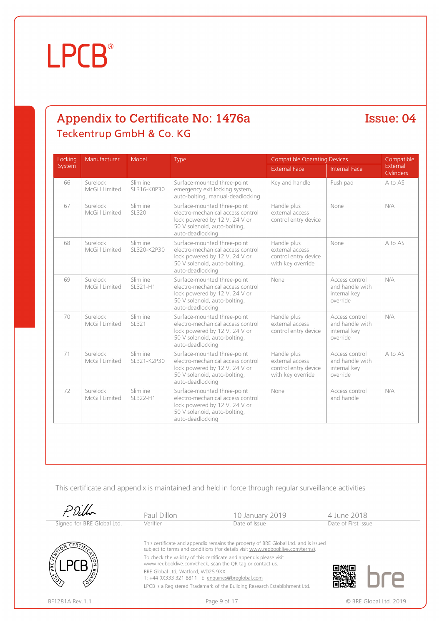#### Appendix to Certificate No: 1476a Teckentrup GmbH & Co. KG

#### Issue: 04

| Locking | Manufacturer               | Model                   | Type                                                                                                                                                   | <b>Compatible Operating Devices</b>                                         |                                                               | Compatible                   |  |
|---------|----------------------------|-------------------------|--------------------------------------------------------------------------------------------------------------------------------------------------------|-----------------------------------------------------------------------------|---------------------------------------------------------------|------------------------------|--|
| System  |                            |                         |                                                                                                                                                        | <b>External Face</b>                                                        | <b>Internal Face</b>                                          | External<br><b>Cylinders</b> |  |
| 66      | Surelock<br>McGill Limited | Slimline<br>SL316-K0P30 | Surface-mounted three-point<br>emergency exit locking system,<br>auto-bolting, manual-deadlocking                                                      | Key and handle                                                              | Push pad                                                      | A to AS                      |  |
| 67      | Surelock<br>McGill Limited | Slimline<br>SL320       | Surface-mounted three-point<br>electro-mechanical access control.<br>lock powered by 12 V, 24 V or<br>50 V solenoid, auto-bolting,<br>auto-deadlocking | Handle plus<br>external access<br>control entry device                      | None                                                          | N/A                          |  |
| 68      | Surelock<br>McGill Limited | Slimline<br>SL320-K2P30 | Surface-mounted three-point<br>electro-mechanical access control<br>lock powered by 12 V, 24 V or<br>50 V solenoid, auto-bolting,<br>auto-deadlocking  | Handle plus<br>external access<br>control entry device<br>with key override | None                                                          | A to AS                      |  |
| 69      | Surelock<br>McGill Limited | Slimline<br>SL321-H1    | Surface-mounted three-point<br>electro-mechanical access control<br>lock powered by 12 V, 24 V or<br>50 V solenoid, auto-bolting,<br>auto-deadlocking  | None                                                                        | Access control<br>and handle with<br>internal key<br>override | N/A                          |  |
| 70      | Surelock<br>McGill Limited | Slimline<br>SL321       | Surface-mounted three-point<br>electro-mechanical access control<br>lock powered by 12 V, 24 V or<br>50 V solenoid, auto-bolting,<br>auto-deadlocking  | Handle plus<br>external access<br>control entry device                      | Access control<br>and handle with<br>internal key<br>override | N/A                          |  |
| 71      | Surelock<br>McGill Limited | Slimline<br>SL321-K2P30 | Surface-mounted three-point<br>electro-mechanical access control<br>lock powered by 12 V, 24 V or<br>50 V solenoid, auto-bolting,<br>auto-deadlocking  | Handle plus<br>external access<br>control entry device<br>with key override | Access control<br>and handle with<br>internal key<br>override | A to AS                      |  |
| 72      | Surelock<br>McGill Limited | Slimline<br>SL322-H1    | Surface-mounted three-point<br>electro-mechanical access control.<br>lock powered by 12 V, 24 V or<br>50 V solenoid, auto-bolting,<br>auto-deadlocking | None                                                                        | Access control<br>and handle                                  | N/A                          |  |

|                            | Paul Dillon                                                                                                                      | 10 January 2019                                                                                                                                                       | 4 June 2018            |
|----------------------------|----------------------------------------------------------------------------------------------------------------------------------|-----------------------------------------------------------------------------------------------------------------------------------------------------------------------|------------------------|
| Signed for BRE Global Ltd. | Verifier                                                                                                                         | Date of Issue                                                                                                                                                         | Date of First Issue    |
| CERT                       |                                                                                                                                  | This certificate and appendix remains the property of BRE Global Ltd. and is issued<br>subject to terms and conditions (for details visit www.redbooklive.com/terms). |                        |
| ¶≆ا                        | To check the validity of this certificate and appendix please visit<br>www.redbooklive.com/check, scan the QR tag or contact us. |                                                                                                                                                                       |                        |
|                            | BRE Global Ltd. Watford. WD25 9XX<br>T: +44 (0)333 321 8811 E: enquiries@breglobal.com                                           |                                                                                                                                                                       |                        |
|                            |                                                                                                                                  | LPCB is a Registered Trademark of the Building Research Establishment Ltd.                                                                                            |                        |
| BF1281A Rev. 1.1           | Page 9 of 17                                                                                                                     |                                                                                                                                                                       | © BRE Global Ltd. 2019 |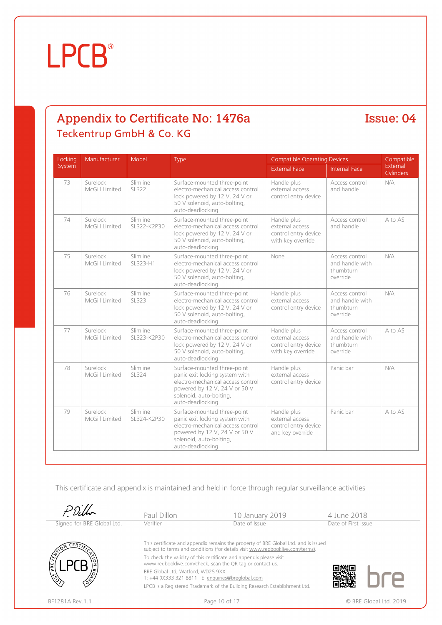### Appendix to Certificate No: 1476a Teckentrup GmbH & Co. KG

Issue: 04

| Locking | Manufacturer               | Model                   | Type                                                                                                                                                                               | <b>Compatible Operating Devices</b>                                         |                                                            | Compatible            |
|---------|----------------------------|-------------------------|------------------------------------------------------------------------------------------------------------------------------------------------------------------------------------|-----------------------------------------------------------------------------|------------------------------------------------------------|-----------------------|
| System  |                            |                         |                                                                                                                                                                                    | <b>External Face</b>                                                        | Internal Face                                              | External<br>Cylinders |
| 73      | Surelock<br>McGill Limited | Slimline<br>SL322       | Surface-mounted three-point<br>electro-mechanical access control<br>lock powered by 12 V, 24 V or<br>50 V solenoid, auto-bolting,<br>auto-deadlocking                              | Handle plus<br>external access<br>control entry device                      | Access control<br>and handle                               | N/A                   |
| 74      | Surelock<br>McGill Limited | Slimline<br>SL322-K2P30 | Surface-mounted three-point<br>electro-mechanical access control<br>lock powered by 12 V, 24 V or<br>50 V solenoid, auto-bolting,<br>auto-deadlocking                              | Handle plus<br>external access<br>control entry device<br>with key override | Access control<br>and handle                               | A to AS               |
| 75      | Surelock<br>McGill Limited | Slimline<br>SL323-H1    | Surface-mounted three-point<br>electro-mechanical access control<br>lock powered by 12 V, 24 V or<br>50 V solenoid, auto-bolting,<br>auto-deadlocking                              | None                                                                        | Access control<br>and handle with<br>thumbturn<br>override | N/A                   |
| 76      | Surelock<br>McGill Limited | Slimline<br>SL323       | Surface-mounted three-point<br>electro-mechanical access control<br>lock powered by 12 V, 24 V or<br>50 V solenoid, auto-bolting,<br>auto-deadlocking                              | Handle plus<br>external access<br>control entry device                      | Access control<br>and handle with<br>thumbturn<br>override | N/A                   |
| 77      | Surelock<br>McGill Limited | Slimline<br>SL323-K2P30 | Surface-mounted three-point<br>electro-mechanical access control.<br>lock powered by 12 V, 24 V or<br>50 V solenoid, auto-bolting,<br>auto-deadlocking                             | Handle plus<br>external access<br>control entry device<br>with key override | Access control<br>and handle with<br>thumbturn<br>override | A to AS               |
| 78      | Surelock<br>McGill Limited | Slimline<br>SL324       | Surface-mounted three-point<br>panic exit locking system with<br>electro-mechanical access control<br>powered by 12 V, 24 V or 50 V<br>solenoid, auto-bolting,<br>auto-deadlocking | Handle plus<br>external access<br>control entry device                      | Panic bar                                                  | N/A                   |
| 79      | Surelock<br>McGill Limited | Slimline<br>SL324-K2P30 | Surface-mounted three-point<br>panic exit locking system with<br>electro-mechanical access control<br>powered by 12 V, 24 V or 50 V<br>solenoid, auto-bolting,<br>auto-deadlocking | Handle plus<br>external access<br>control entry device<br>and key override  | Panic bar                                                  | A to AS               |

|                            | Paul Dillon                                                                                                                      | 10 January 2019                                                                                                                                                       | 4 June 2018         |                        |  |
|----------------------------|----------------------------------------------------------------------------------------------------------------------------------|-----------------------------------------------------------------------------------------------------------------------------------------------------------------------|---------------------|------------------------|--|
| Signed for BRE Global Ltd. | Verifier                                                                                                                         | Date of Issue                                                                                                                                                         | Date of First Issue |                        |  |
| <b>CER7</b>                |                                                                                                                                  | This certificate and appendix remains the property of BRE Global Ltd. and is issued<br>subject to terms and conditions (for details visit www.redbooklive.com/terms). |                     |                        |  |
| PREVE                      | To check the validity of this certificate and appendix please visit<br>www.redbooklive.com/check, scan the QR tag or contact us. |                                                                                                                                                                       |                     |                        |  |
|                            | BRE Global Ltd. Watford. WD25 9XX<br>T: +44 (0)333 321 8811 E: enquiries@breglobal.com                                           |                                                                                                                                                                       |                     |                        |  |
|                            |                                                                                                                                  | LPCB is a Registered Trademark of the Building Research Establishment Ltd.                                                                                            |                     |                        |  |
| BF1281A Rev. 1.1           |                                                                                                                                  | Page 10 of 17                                                                                                                                                         |                     | © BRE Global Ltd. 2019 |  |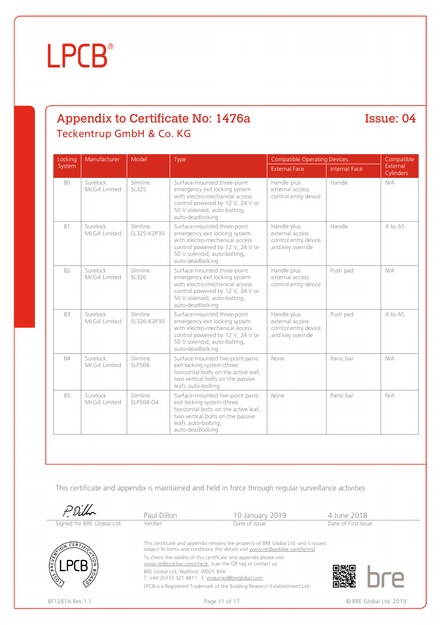### Appendix to Certificate No: 1476a Teckentrup GmbH & Co. KG

#### Issue: 04

| Locking | Manufacturer               | Model                     | Type                                                                                                                                                                                    | <b>Compatible Operating Devices</b>                                        |                      | Compatible            |
|---------|----------------------------|---------------------------|-----------------------------------------------------------------------------------------------------------------------------------------------------------------------------------------|----------------------------------------------------------------------------|----------------------|-----------------------|
| System  |                            |                           |                                                                                                                                                                                         | <b>External Face</b>                                                       | <b>Internal Face</b> | External<br>Cylinders |
| 80      | Surelock<br>McGill Limited | Slimline<br>SL325         | Surface-mounted three-point<br>emergency exit locking system<br>with electro-mechanical access<br>control powered by 12 V, 24 V or<br>50 V solenoid, auto-bolting,<br>auto-deadlocking  | Handle plus<br>external access<br>control entry device                     | Handle               | N/A                   |
| 81      | Surelock<br>McGill Limited | Slimline<br>SL325-K2P30   | Surface-mounted three-point<br>emergency exit locking system<br>with electro-mechanical access<br>control powered by 12 V, 24 V or<br>50 V solenoid, auto-bolting,<br>auto-deadlocking  | Handle plus<br>external access<br>control entry device<br>and key override | Handle               | A to AS               |
| 82      | Surelock<br>McGill Limited | Slimline<br>SL326         | Surface-mounted three-point<br>emergency exit locking system<br>with electro-mechanical access<br>control powered by 12 V, 24 V or<br>50 V solenoid, auto-bolting,<br>auto-deadlocking  | Handle plus<br>external access<br>control entry device                     | Push pad             | N/A                   |
| 83      | Surelock<br>McGill Limited | Slimline<br>SL326-K2P30   | Surface-mounted three-point<br>emergency exit locking system<br>with electro-mechanical access<br>control powered by 12 V, 24 V or<br>50 V solenoid, auto-bolting,<br>auto-deadlocking  | Handle plus<br>external access<br>control entry device<br>and key override | Push pad             | A to AS               |
| 84      | Surelock<br>McGill Limited | Slimline<br><b>SLP504</b> | Surface-mounted five-point panic<br>exit locking system (three<br>horizontal bolts on the active leaf.<br>two vertical bolts on the passive<br>leaf), auto-bolting                      | None                                                                       | Panic bar            | N/A                   |
| 85      | Surelock<br>McGill Limited | Slimline<br>SLP504-Q4     | Surface-mounted five-point panic<br>exit locking system (three<br>horizontal bolts on the active leaf,<br>two vertical bolts on the passive<br>leaf), auto-bolting,<br>auto-deadlocking | None                                                                       | Panic bar            | N/A                   |

|                            | Paul Dillon                                                                                                                                                           | 10 January 2019                                                            | 4 June 2018            |  |  |
|----------------------------|-----------------------------------------------------------------------------------------------------------------------------------------------------------------------|----------------------------------------------------------------------------|------------------------|--|--|
| Signed for BRE Global Ltd. | Verifier                                                                                                                                                              | Date of Issue                                                              | Date of First Issue    |  |  |
|                            | This certificate and appendix remains the property of BRE Global Ltd. and is issued<br>subject to terms and conditions (for details visit www.redbooklive.com/terms). |                                                                            |                        |  |  |
| PRE<br>P                   | To check the validity of this certificate and appendix please visit<br>www.redbooklive.com/check, scan the QR tag or contact us.                                      |                                                                            |                        |  |  |
|                            | BRE Global Ltd, Watford, WD25 9XX<br>T: +44 (0)333 321 8811 E: enquiries@breglobal.com                                                                                |                                                                            |                        |  |  |
|                            |                                                                                                                                                                       | LPCB is a Registered Trademark of the Building Research Establishment Ltd. |                        |  |  |
| BF1281A Rev. 1.1           | Page 11 of 17                                                                                                                                                         |                                                                            | © BRE Global Ltd. 2019 |  |  |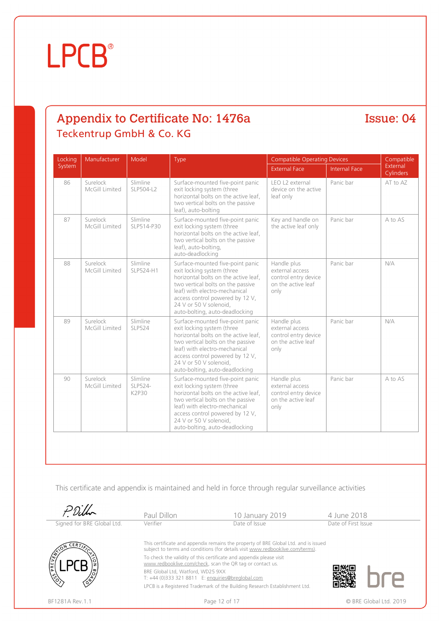### Appendix to Certificate No: 1476a Teckentrup GmbH & Co. KG

#### Issue: 04

| Locking | Manufacturer               | Model                               | Type                                                                                                                                                                                                                                                                        | <b>Compatible Operating Devices</b>                                                  |                      | Compatible            |
|---------|----------------------------|-------------------------------------|-----------------------------------------------------------------------------------------------------------------------------------------------------------------------------------------------------------------------------------------------------------------------------|--------------------------------------------------------------------------------------|----------------------|-----------------------|
| System  |                            |                                     |                                                                                                                                                                                                                                                                             | <b>External Face</b>                                                                 | <b>Internal Face</b> | External<br>Cylinders |
| 86      | Surelock<br>McGill Limited | Slimline<br>SLP504-L2               | Surface-mounted five-point panic<br>exit locking system (three<br>horizontal bolts on the active leaf,<br>two vertical bolts on the passive<br>leaf), auto-bolting                                                                                                          | LEO L2 external<br>device on the active<br>leaf only                                 | Panic bar            | AT to AZ              |
| 87      | Surelock<br>McGill Limited | Slimline<br>SLP514-P30              | Surface-mounted five-point panic<br>exit locking system (three<br>horizontal bolts on the active leaf,<br>two vertical bolts on the passive<br>leaf), auto-bolting,<br>auto-deadlocking                                                                                     | Key and handle on<br>the active leaf only                                            | Panic bar            | A to AS               |
| 88      | Surelock<br>McGill Limited | Slimline<br>SLP524-H1               | Surface-mounted five-point panic<br>exit locking system (three<br>horizontal bolts on the active leaf,<br>two vertical bolts on the passive<br>leaf) with electro-mechanical<br>access control powered by 12 V,<br>24 V or 50 V solenoid.<br>auto-bolting, auto-deadlocking | Handle plus<br>external access<br>control entry device<br>on the active leaf<br>only | Panic bar            | N/A                   |
| 89      | Surelock<br>McGill Limited | Slimline<br><b>SLP524</b>           | Surface-mounted five-point panic<br>exit locking system (three<br>horizontal bolts on the active leaf,<br>two vertical bolts on the passive<br>leaf) with electro-mechanical<br>access control powered by 12 V,<br>24 V or 50 V solenoid,<br>auto-bolting, auto-deadlocking | Handle plus<br>external access<br>control entry device<br>on the active leaf<br>only | Panic bar            | N/A                   |
| 90      | Surelock<br>McGill Limited | Slimline<br>SLP524-<br><b>K2P30</b> | Surface-mounted five-point panic<br>exit locking system (three<br>horizontal bolts on the active leaf,<br>two vertical bolts on the passive<br>leaf) with electro-mechanical<br>access control powered by 12 V,<br>24 V or 50 V solenoid,<br>auto-bolting, auto-deadlocking | Handle plus<br>external access<br>control entry device<br>on the active leaf<br>only | Panic bar            | A to AS               |

|                            | Paul Dillon                                                                                                                      | 10 January 2019                                                                                                                                                       | 4 June 2018            |  |  |
|----------------------------|----------------------------------------------------------------------------------------------------------------------------------|-----------------------------------------------------------------------------------------------------------------------------------------------------------------------|------------------------|--|--|
| Signed for BRE Global Ltd. | Verifier                                                                                                                         | Date of Issue                                                                                                                                                         | Date of First Issue    |  |  |
| <b>CERT</b>                |                                                                                                                                  | This certificate and appendix remains the property of BRE Global Ltd. and is issued<br>subject to terms and conditions (for details visit www.redbooklive.com/terms). |                        |  |  |
|                            | To check the validity of this certificate and appendix please visit<br>www.redbooklive.com/check, scan the QR tag or contact us. |                                                                                                                                                                       |                        |  |  |
| ¶≆ا                        | BRE Global Ltd, Watford, WD25 9XX<br>T: +44 (0)333 321 8811 E: enquiries@breglobal.com                                           |                                                                                                                                                                       |                        |  |  |
|                            |                                                                                                                                  | LPCB is a Registered Trademark of the Building Research Establishment Ltd.                                                                                            |                        |  |  |
| BF1281A Rev. 1.1           |                                                                                                                                  | Page 12 of 17                                                                                                                                                         | © BRE Global Ltd. 2019 |  |  |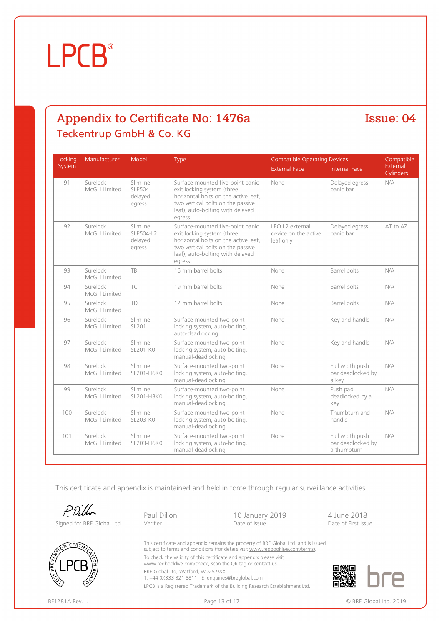### Appendix to Certificate No: 1476a Teckentrup GmbH & Co. KG

Issue: 04

| Locking | Manufacturer               | Model                                          | Type                                                                                                                                                                                      | <b>Compatible Operating Devices</b>                  | Compatible                                          |                       |
|---------|----------------------------|------------------------------------------------|-------------------------------------------------------------------------------------------------------------------------------------------------------------------------------------------|------------------------------------------------------|-----------------------------------------------------|-----------------------|
| System  |                            |                                                |                                                                                                                                                                                           | <b>External Face</b>                                 | <b>Internal Face</b>                                | External<br>Cylinders |
| 91      | Surelock<br>McGill Limited | Slimline<br><b>SLP504</b><br>delayed<br>egress | Surface-mounted five-point panic<br>exit locking system (three<br>horizontal bolts on the active leaf,<br>two vertical bolts on the passive<br>leaf), auto-bolting with delayed<br>egress | None                                                 | Delayed egress<br>panic bar                         | N/A                   |
| 92      | Surelock<br>McGill Limited | Slimline<br>SLP504-L2<br>delayed<br>egress     | Surface-mounted five-point panic<br>exit locking system (three<br>horizontal bolts on the active leaf,<br>two vertical bolts on the passive<br>leaf), auto-bolting with delayed<br>egress | LEO L2 external<br>device on the active<br>leaf only | Delayed egress<br>panic bar                         | AT to AZ              |
| 93      | Surelock<br>McGill Limited | TB                                             | 16 mm barrel bolts                                                                                                                                                                        | None                                                 | Barrel bolts                                        | N/A                   |
| 94      | Surelock<br>McGill Limited | TC                                             | 19 mm barrel bolts                                                                                                                                                                        | None                                                 | Barrel bolts                                        | N/A                   |
| 95      | Surelock<br>McGill Limited | TD                                             | 12 mm barrel bolts                                                                                                                                                                        | None                                                 | Barrel bolts                                        | N/A                   |
| 96      | Surelock<br>McGill Limited | Slimline<br>SL201                              | Surface-mounted two-point<br>locking system, auto-bolting,<br>auto-deadlocking                                                                                                            | None                                                 | Key and handle                                      | N/A                   |
| 97      | Surelock<br>McGill Limited | Slimline<br>$SL201-K0$                         | Surface-mounted two-point<br>locking system, auto-bolting,<br>manual-deadlocking                                                                                                          | None                                                 | Key and handle                                      | N/A                   |
| 98      | Surelock<br>McGill Limited | Slimline<br>SL201-H6K0                         | Surface-mounted two-point<br>locking system, auto-bolting,<br>manual-deadlocking                                                                                                          | None                                                 | Full width push<br>bar deadlocked by<br>a key       | N/A                   |
| 99      | Surelock<br>McGill Limited | Slimline<br>SL201-H3K0                         | Surface-mounted two-point<br>locking system, auto-bolting,<br>manual-deadlocking                                                                                                          | None                                                 | Push pad<br>deadlocked by a<br>key                  | N/A                   |
| 100     | Surelock<br>McGill Limited | Slimline<br>SL203-KO                           | Surface-mounted two-point<br>locking system, auto-bolting,<br>manual-deadlocking                                                                                                          | None                                                 | Thumbturn and<br>handle                             | N/A                   |
| 101     | Surelock<br>McGill Limited | Slimline<br>SL203-H6K0                         | Surface-mounted two-point<br>locking system, auto-bolting,<br>manual-deadlocking                                                                                                          | None                                                 | Full width push<br>bar deadlocked by<br>a thumbturn | N/A                   |

|                            | Paul Dillon                                                                            | 10 January 2019                                                                                                                                                       | 4 June 2018            |
|----------------------------|----------------------------------------------------------------------------------------|-----------------------------------------------------------------------------------------------------------------------------------------------------------------------|------------------------|
| Signed for BRE Global Ltd. | Verifier                                                                               | Date of Issue                                                                                                                                                         | Date of First Issue    |
| <b>ERT</b>                 |                                                                                        | This certificate and appendix remains the property of BRE Global Ltd. and is issued<br>subject to terms and conditions (for details visit www.redbooklive.com/terms). |                        |
| PREVE                      |                                                                                        | To check the validity of this certificate and appendix please visit<br>www.redbooklive.com/check, scan the QR tag or contact us.                                      |                        |
|                            | BRE Global Ltd, Watford, WD25 9XX<br>T: +44 (0)333 321 8811 E: enquiries@breglobal.com |                                                                                                                                                                       |                        |
|                            |                                                                                        | LPCB is a Registered Trademark of the Building Research Establishment Ltd.                                                                                            |                        |
| BF1281A Rev. 1.1           |                                                                                        | Page 13 of 17                                                                                                                                                         | © BRE Global Ltd. 2019 |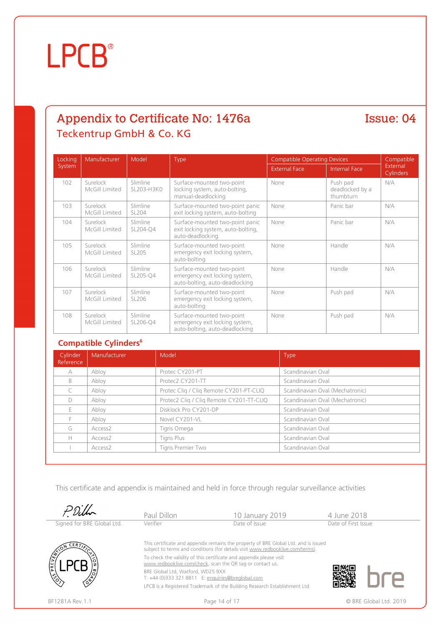### Appendix to Certificate No: 1476a Teckentrup GmbH & Co. KG

Issue: 04

| Locking | Manufacturer               | Model                  | Type                                                                                          | <b>Compatible Operating Devices</b> |                                          | Compatible                   |
|---------|----------------------------|------------------------|-----------------------------------------------------------------------------------------------|-------------------------------------|------------------------------------------|------------------------------|
| System  |                            |                        |                                                                                               | <b>External Face</b>                | <b>Internal Face</b>                     | External<br><b>Cylinders</b> |
| 102     | Surelock<br>McGill Limited | Slimline<br>SL203-H3K0 | Surface-mounted two-point<br>locking system, auto-bolting,<br>manual-deadlocking              | None                                | Push pad<br>deadlocked by a<br>thumbturn | N/A                          |
| 103     | Surelock<br>McGill Limited | Slimline<br>SL204      | Surface-mounted two-point panic<br>exit locking system, auto-bolting                          | None                                | Panic bar                                | N/A                          |
| 104     | Surelock<br>McGill Limited | Slimline<br>SL204-O4   | Surface-mounted two-point panic<br>exit locking system, auto-bolting,<br>auto-deadlocking     | None                                | Panic bar                                | N/A                          |
| 105     | Surelock<br>McGill Limited | Slimline<br>SL205      | Surface-mounted two-point<br>emergency exit locking system,<br>auto-bolting                   | None                                | Handle                                   | N/A                          |
| 106     | Surelock<br>McGill Limited | Slimline<br>SL205-Q4   | Surface-mounted two-point<br>emergency exit locking system,<br>auto-bolting, auto-deadlocking | None                                | Handle                                   | N/A                          |
| 107     | Surelock<br>McGill Limited | Slimline<br>SL206      | Surface-mounted two-point<br>emergency exit locking system,<br>auto-bolting                   | None                                | Push pad                                 | N/A                          |
| 108     | Surelock<br>McGill Limited | Slimline<br>SL206-Q4   | Surface-mounted two-point<br>emergency exit locking system,<br>auto-bolting, auto-deadlocking | None                                | Push pad                                 | N/A                          |

#### **Compatible Cylinders<sup>6</sup>**

| Cylinder<br>Reference | Manufacturer        | Model                                    | <b>Type</b>                     |
|-----------------------|---------------------|------------------------------------------|---------------------------------|
| A                     | Abloy               | Protec CY201-PT                          | Scandinavian Oval               |
| B                     | Abloy               | Protec2 CY201-TT                         | Scandinavian Oval               |
|                       | Abloy               | Protec Cliq / Cliq Remote CY201-PT-CLIQ  | Scandinavian Oval (Mechatronic) |
| $\Box$                | Abloy               | Protec2 Cliq / Cliq Remote CY201-TT-CLIQ | Scandinavian Oval (Mechatronic) |
|                       | Abloy               | Disklock Pro CY201-DP                    | Scandinavian Oval               |
|                       | Abloy               | Novel CY201-VL                           | Scandinavian Oval               |
| G                     | Access <sub>2</sub> | Tigris Omega                             | Scandinavian Oval               |
| Н                     | Access <sub>2</sub> | Tigris Plus                              | Scandinavian Oval               |
|                       | Access <sub>2</sub> | Tigris Premier Two                       | Scandinavian Oval               |

|                            | Paul Dillon                                                                            | 10 January 2019                                                                                                                                                       | 4 June 2018         |                        |
|----------------------------|----------------------------------------------------------------------------------------|-----------------------------------------------------------------------------------------------------------------------------------------------------------------------|---------------------|------------------------|
| Signed for BRE Global Ltd. | Verifier                                                                               | Date of Issue                                                                                                                                                         | Date of First Issue |                        |
| -ERT/~                     |                                                                                        | This certificate and appendix remains the property of BRE Global Ltd. and is issued<br>subject to terms and conditions (for details visit www.redbooklive.com/terms). |                     |                        |
| PREVEN                     |                                                                                        | To check the validity of this certificate and appendix please visit<br>www.redbooklive.com/check, scan the QR tag or contact us.                                      |                     |                        |
|                            | BRE Global Ltd, Watford, WD25 9XX<br>T: +44 (0)333 321 8811 E: enquiries@breglobal.com |                                                                                                                                                                       |                     |                        |
|                            |                                                                                        | LPCB is a Registered Trademark of the Building Research Establishment Ltd.                                                                                            |                     |                        |
| BF1281A Rev. 1.1           |                                                                                        | Page 14 of 17                                                                                                                                                         |                     | © BRE Global Ltd. 2019 |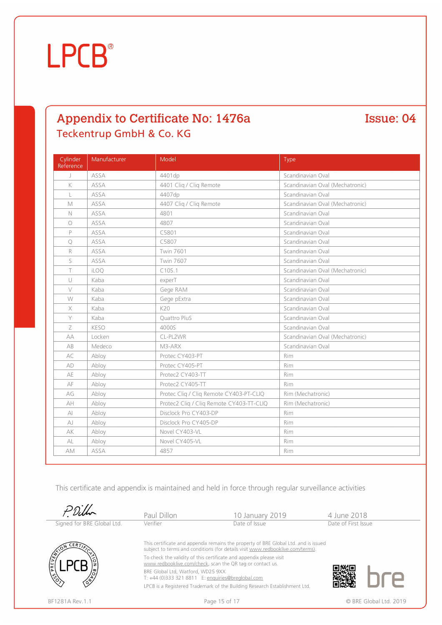#### Appendix to Certificate No: 1476a Teckentrup GmbH & Co. KG

Issue: 04

| Cylinder<br>Reference  | Manufacturer | Model                                    | Type                            |
|------------------------|--------------|------------------------------------------|---------------------------------|
| $\perp$                | ASSA         | 4401dp                                   | Scandinavian Oval               |
| K                      | ASSA         | 4401 Cliq / Cliq Remote                  | Scandinavian Oval (Mechatronic) |
| L                      | ASSA         | 4407dp                                   | Scandinavian Oval               |
| M                      | ASSA         | 4407 Cliq / Cliq Remote                  | Scandinavian Oval (Mechatronic) |
| $\mathbb N$            | ASSA         | 4801                                     | Scandinavian Oval               |
| $\circ$                | ASSA         | 4807                                     | Scandinavian Oval               |
| P                      | ASSA         | C5801                                    | Scandinavian Oval               |
| $\bigcirc$             | ASSA         | C5807                                    | Scandinavian Oval               |
| R                      | ASSA         | <b>Twin 7601</b>                         | Scandinavian Oval               |
| S                      | ASSA         | <b>Twin 7607</b>                         | Scandinavian Oval               |
| T                      | iLOQ         | C10S.1                                   | Scandinavian Oval (Mechatronic) |
| $\cup$                 | Kaba         | experT                                   | Scandinavian Oval               |
| $\vee$                 | Kaba         | Gege RAM                                 | Scandinavian Oval               |
| W                      | Kaba         | Gege pExtra                              | Scandinavian Oval               |
| X                      | Kaba         | K20                                      | Scandinavian Oval               |
| Y                      | Kaba         | Quattro PluS                             | Scandinavian Oval               |
| Z                      | <b>KESO</b>  | 4000S                                    | Scandinavian Oval               |
| AA                     | Locken       | CL-PL2WR                                 | Scandinavian Oval (Mechatronic) |
| AB                     | Medeco       | M3-ARX                                   | Scandinavian Oval               |
| AC                     | Abloy        | Protec CY403-PT                          | Rim                             |
| AD                     | Abloy        | Protec CY405-PT                          | Rim                             |
| AE                     | Abloy        | Protec2 CY403-TT                         | Rim                             |
| AF                     | Abloy        | Protec2 CY405-TT                         | Rim                             |
| AG                     | Abloy        | Protec Cliq / Cliq Remote CY403-PT-CLIQ  | Rim (Mechatronic)               |
| AH                     | Abloy        | Protec2 Cliq / Cliq Remote CY403-TT-CLIQ | Rim (Mechatronic)               |
| $\mathsf{A}\mathsf{I}$ | Abloy        | Disclock Pro CY403-DP                    | Rim                             |
| AJ                     | Abloy        | Disclock Pro CY405-DP                    | Rim                             |
| AK                     | Abloy        | Novel CY403-VL                           | Rim                             |
| AL                     | Abloy        | Novel CY405-VL                           | Rim                             |
| AM                     | ASSA         | 4857                                     | Rim                             |

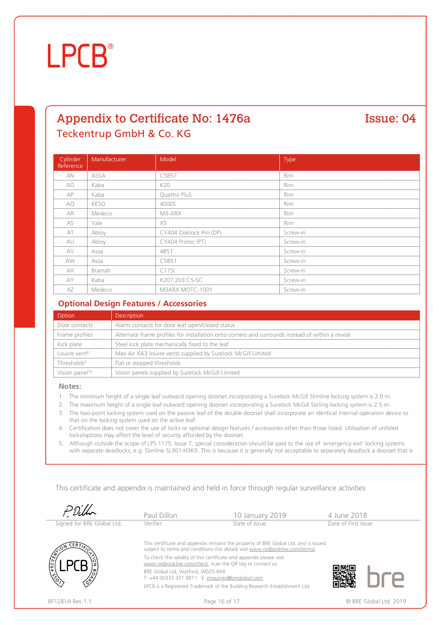#### Appendix to Certificate No: 1476a Teckentrup GmbH & Co. KG

Issue: 04

#### Cylinder **Reference** Manufacturer Model Model And Type AN ASSA C5857 Rim AO Kaba K20 Rim

| AP        | Kaba        | Quattro PluS            | Rim        |
|-----------|-------------|-------------------------|------------|
| <b>AQ</b> | <b>KESO</b> | 4000S                   | <b>Rim</b> |
| AR        | Medeco      | M3-ARX                  | <b>Rim</b> |
| AS        | Yale        | X5                      | Rim        |
| AT        | Abloy       | CY404 Disklock Pro (DP) | Screw-in   |
| AU        | Abloy       | CY404 Protec (PT)       | Screw-in   |
| AV        | Assa        | 4851                    | Screw-in   |
| AW        | Assa        | C5851                   | Screw-in   |
| AX        | Bramah      | C175I                   | Screw-in   |
| AY        | Kaba        | K207.203 C5-SC          | Screw-in   |
| AZ        | Medeco      | M3ARX MOTC-1001         | Screw-in   |

#### **Optional Design Features / Accessories**

| Option                     | <b>Description</b>                                                                              |
|----------------------------|-------------------------------------------------------------------------------------------------|
| Door contacts              | Alarm contacts for door leaf open/closed status                                                 |
| Frame profiles             | Alternate frame profiles for installation onto corners and surrounds instead of within a reveal |
| Kick plate                 | Steel kick plate mechanically fixed to the leaf                                                 |
| Louvre vent <sup>8</sup>   | Max Air XA3 louvre vents supplied by Surelock McGill Limited                                    |
| Thresholds <sup>9</sup>    | Flat or stepped thresholds                                                                      |
| Vision panel <sup>10</sup> | Vision panels supplied by Surelock McGill Limited                                               |

#### **Notes:**

- 1. The minimum height of a single leaf outward opening doorset incorporating a Surelock McGill Slimline locking system is 2.0 m.
- 2. The maximum height of a single leaf outward opening doorset incorporating a Surelock McGill Stirling locking system is 2.5 m.
- 3. The two-point locking system used on the passive leaf of the double doorset shall incorporate an identical internal operation device to that on the locking system used on the active leaf.
- 4. Certification does not cover the use of locks or optional design features / accessories other than those listed. Utilisation of unlisted locks/options may affect the level of security afforded by the doorset.
- 5. Although outside the scope of LPS 1175: Issue 7, special consideration should be paid to the use of 'emergency exit' locking systems with separate deadlocks, e.g. Slimline SL301-H3K0. This is because it is generally not acceptable to separately deadlock a doorset that is

|                            | Paul Dillon                                                                            | 10 January 2019                                                                                                                                                                                                                                                                                                                                                                         | 4 June 2018            |
|----------------------------|----------------------------------------------------------------------------------------|-----------------------------------------------------------------------------------------------------------------------------------------------------------------------------------------------------------------------------------------------------------------------------------------------------------------------------------------------------------------------------------------|------------------------|
| Signed for BRE Global Ltd. | Verifier                                                                               | Date of Issue                                                                                                                                                                                                                                                                                                                                                                           | Date of First Issue    |
| ρŘ                         | BRE Global Ltd. Watford. WD25 9XX<br>T: +44 (0)333 321 8811 E: enguiries@breglobal.com | This certificate and appendix remains the property of BRE Global Ltd. and is issued<br>subject to terms and conditions (for details visit www.redbooklive.com/terms).<br>To check the validity of this certificate and appendix please visit<br>www.redbooklive.com/check, scan the QR tag or contact us.<br>LPCB is a Registered Trademark of the Building Research Establishment Ltd. |                        |
| BF1281A Rev.1.1            |                                                                                        | Page 16 of 17                                                                                                                                                                                                                                                                                                                                                                           | © BRE Global Ltd. 2019 |